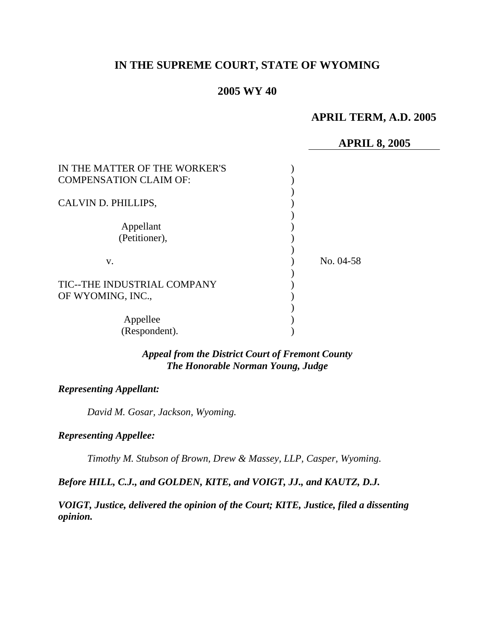# **IN THE SUPREME COURT, STATE OF WYOMING**

## **2005 WY 40**

# **APRIL TERM, A.D. 2005**

## **APRIL 8, 2005**

| IN THE MATTER OF THE WORKER'S<br><b>COMPENSATION CLAIM OF:</b> |           |
|----------------------------------------------------------------|-----------|
| CALVIN D. PHILLIPS,                                            |           |
| Appellant<br>(Petitioner),                                     |           |
| V.                                                             | No. 04-58 |
| TIC--THE INDUSTRIAL COMPANY<br>OF WYOMING, INC.,               |           |
| Appellee<br>(Respondent).                                      |           |

## *Appeal from the District Court of Fremont County The Honorable Norman Young, Judge*

### *Representing Appellant:*

*David M. Gosar, Jackson, Wyoming.* 

*Representing Appellee:*

*Timothy M. Stubson of Brown, Drew & Massey, LLP, Casper, Wyoming.* 

*Before HILL, C.J., and GOLDEN, KITE, and VOIGT, JJ., and KAUTZ, D.J.* 

*VOIGT, Justice, delivered the opinion of the Court; KITE, Justice, filed a dissenting opinion.*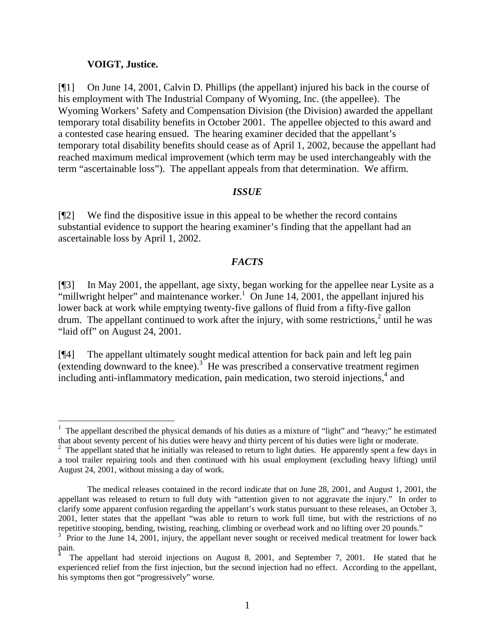### **VOIGT, Justice.**

[¶1] On June 14, 2001, Calvin D. Phillips (the appellant) injured his back in the course of his employment with The Industrial Company of Wyoming, Inc. (the appellee). The Wyoming Workers' Safety and Compensation Division (the Division) awarded the appellant temporary total disability benefits in October 2001. The appellee objected to this award and a contested case hearing ensued. The hearing examiner decided that the appellant's temporary total disability benefits should cease as of April 1, 2002, because the appellant had reached maximum medical improvement (which term may be used interchangeably with the term "ascertainable loss"). The appellant appeals from that determination. We affirm.

### *ISSUE*

[¶2] We find the dispositive issue in this appeal to be whether the record contains substantial evidence to support the hearing examiner's finding that the appellant had an ascertainable loss by April 1, 2002.

### *FACTS*

[¶3] In May 2001, the appellant, age sixty, began working for the appellee near Lysite as a "millwright helper" and maintenance worker.<sup>[1](#page-1-0)</sup> On June 14, 2001, the appellant injured his lower back at work while emptying twenty-five gallons of fluid from a fifty-five gallon drum. The appellant continued to work after the injury, with some restrictions, $2$  until he was "laid off" on August 24, 2001.

[¶4] The appellant ultimately sought medical attention for back pain and left leg pain (extending downward to the knee). $3<sup>3</sup>$  $3<sup>3</sup>$  He was prescribed a conservative treatment regimen including anti-inflammatory medication, pain medication, two steroid injections,<sup>[4](#page-1-3)</sup> and

<span id="page-1-0"></span><sup>&</sup>lt;sup>1</sup> The appellant described the physical demands of his duties as a mixture of "light" and "heavy;" he estimated The appellant described the physical demands of his duties as a mixture of "light" and "heavy;" he estimated that about seventy percent of his duties were heavy and thirty percent of his duties were light or moderate.<br> $\frac{2}{5}$ . The appellant stated that he initially wes released to return to light duties. He appenantly spent a

<span id="page-1-1"></span>The appellant stated that he initially was released to return to light duties. He apparently spent a few days in a tool trailer repairing tools and then continued with his usual employment (excluding heavy lifting) until August 24, 2001, without missing a day of work.

The medical releases contained in the record indicate that on June 28, 2001, and August 1, 2001, the appellant was released to return to full duty with "attention given to not aggravate the injury." In order to clarify some apparent confusion regarding the appellant's work status pursuant to these releases, an October 3, 2001, letter states that the appellant "was able to return to work full time, but with the restrictions of no repetitive stooping, bending, twisting, reaching, climbing or overhead work and no lifting over 20 pounds."

<span id="page-1-2"></span><sup>&</sup>lt;sup>3</sup> Prior to the June 14, 2001, injury, the appellant never sought or received medical treatment for lower back pain. 4

<span id="page-1-3"></span>The appellant had steroid injections on August 8, 2001, and September 7, 2001. He stated that he experienced relief from the first injection, but the second injection had no effect. According to the appellant, his symptoms then got "progressively" worse.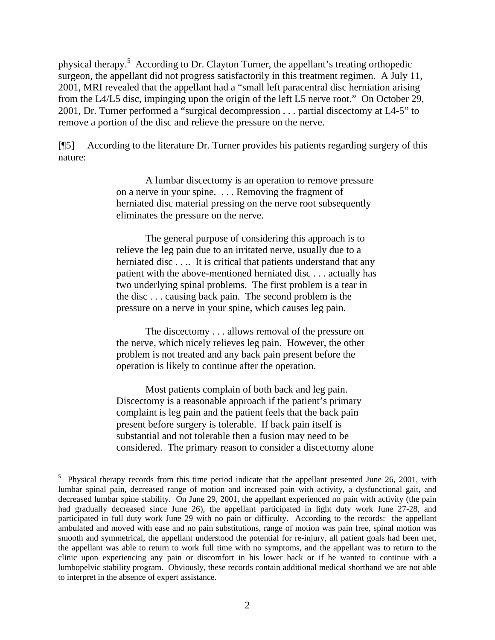physical therapy.<sup>[5](#page-2-0)</sup> According to Dr. Clayton Turner, the appellant's treating orthopedic surgeon, the appellant did not progress satisfactorily in this treatment regimen. A July 11, 2001, MRI revealed that the appellant had a "small left paracentral disc herniation arising from the L4/L5 disc, impinging upon the origin of the left L5 nerve root." On October 29, 2001, Dr. Turner performed a "surgical decompression . . . partial discectomy at L4-5" to remove a portion of the disc and relieve the pressure on the nerve.

[¶5] According to the literature Dr. Turner provides his patients regarding surgery of this nature:

> A lumbar discectomy is an operation to remove pressure on a nerve in your spine. . . . Removing the fragment of herniated disc material pressing on the nerve root subsequently eliminates the pressure on the nerve.

> The general purpose of considering this approach is to relieve the leg pain due to an irritated nerve, usually due to a herniated disc . . . It is critical that patients understand that any patient with the above-mentioned herniated disc . . . actually has two underlying spinal problems. The first problem is a tear in the disc . . . causing back pain. The second problem is the pressure on a nerve in your spine, which causes leg pain.

The discectomy . . . allows removal of the pressure on the nerve, which nicely relieves leg pain. However, the other problem is not treated and any back pain present before the operation is likely to continue after the operation.

Most patients complain of both back and leg pain. Discectomy is a reasonable approach if the patient's primary complaint is leg pain and the patient feels that the back pain present before surgery is tolerable. If back pain itself is substantial and not tolerable then a fusion may need to be considered. The primary reason to consider a discectomy alone

<span id="page-2-0"></span><sup>5</sup> Physical therapy records from this time period indicate that the appellant presented June 26, 2001, with lumbar spinal pain, decreased range of motion and increased pain with activity, a dysfunctional gait, and decreased lumbar spine stability. On June 29, 2001, the appellant experienced no pain with activity (the pain had gradually decreased since June 26), the appellant participated in light duty work June 27-28, and participated in full duty work June 29 with no pain or difficulty. According to the records: the appellant ambulated and moved with ease and no pain substitutions, range of motion was pain free, spinal motion was smooth and symmetrical, the appellant understood the potential for re-injury, all patient goals had been met, the appellant was able to return to work full time with no symptoms, and the appellant was to return to the clinic upon experiencing any pain or discomfort in his lower back or if he wanted to continue with a lumbopelvic stability program. Obviously, these records contain additional medical shorthand we are not able to interpret in the absence of expert assistance.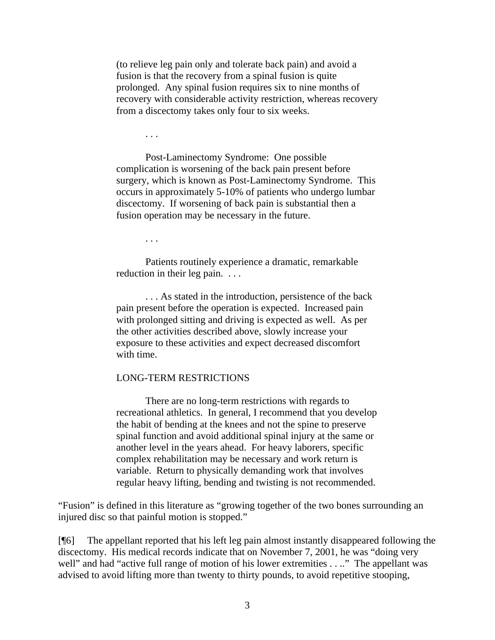(to relieve leg pain only and tolerate back pain) and avoid a fusion is that the recovery from a spinal fusion is quite prolonged. Any spinal fusion requires six to nine months of recovery with considerable activity restriction, whereas recovery from a discectomy takes only four to six weeks.

. . .

Post-Laminectomy Syndrome: One possible complication is worsening of the back pain present before surgery, which is known as Post-Laminectomy Syndrome. This occurs in approximately 5-10% of patients who undergo lumbar discectomy. If worsening of back pain is substantial then a fusion operation may be necessary in the future.

. . .

Patients routinely experience a dramatic, remarkable reduction in their leg pain. ...

. . . As stated in the introduction, persistence of the back pain present before the operation is expected. Increased pain with prolonged sitting and driving is expected as well. As per the other activities described above, slowly increase your exposure to these activities and expect decreased discomfort with time.

#### LONG-TERM RESTRICTIONS

There are no long-term restrictions with regards to recreational athletics. In general, I recommend that you develop the habit of bending at the knees and not the spine to preserve spinal function and avoid additional spinal injury at the same or another level in the years ahead. For heavy laborers, specific complex rehabilitation may be necessary and work return is variable. Return to physically demanding work that involves regular heavy lifting, bending and twisting is not recommended.

"Fusion" is defined in this literature as "growing together of the two bones surrounding an injured disc so that painful motion is stopped."

[¶6] The appellant reported that his left leg pain almost instantly disappeared following the discectomy. His medical records indicate that on November 7, 2001, he was "doing very well" and had "active full range of motion of his lower extremities . . .." The appellant was advised to avoid lifting more than twenty to thirty pounds, to avoid repetitive stooping,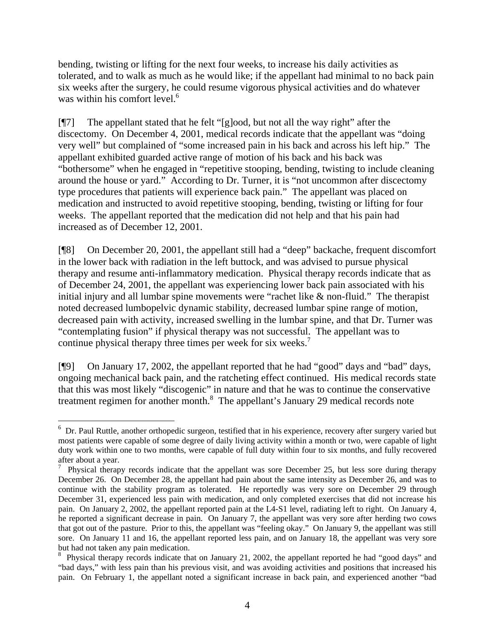bending, twisting or lifting for the next four weeks, to increase his daily activities as tolerated, and to walk as much as he would like; if the appellant had minimal to no back pain six weeks after the surgery, he could resume vigorous physical activities and do whatever was within his comfort level.<sup>[6](#page-4-0)</sup>

[¶7] The appellant stated that he felt "[g]ood, but not all the way right" after the discectomy. On December 4, 2001, medical records indicate that the appellant was "doing very well" but complained of "some increased pain in his back and across his left hip." The appellant exhibited guarded active range of motion of his back and his back was "bothersome" when he engaged in "repetitive stooping, bending, twisting to include cleaning around the house or yard." According to Dr. Turner, it is "not uncommon after discectomy type procedures that patients will experience back pain." The appellant was placed on medication and instructed to avoid repetitive stooping, bending, twisting or lifting for four weeks. The appellant reported that the medication did not help and that his pain had increased as of December 12, 2001.

[¶8] On December 20, 2001, the appellant still had a "deep" backache, frequent discomfort in the lower back with radiation in the left buttock, and was advised to pursue physical therapy and resume anti-inflammatory medication. Physical therapy records indicate that as of December 24, 2001, the appellant was experiencing lower back pain associated with his initial injury and all lumbar spine movements were "rachet like & non-fluid." The therapist noted decreased lumbopelvic dynamic stability, decreased lumbar spine range of motion, decreased pain with activity, increased swelling in the lumbar spine, and that Dr. Turner was "contemplating fusion" if physical therapy was not successful. The appellant was to continue physical therapy three times per week for six weeks.<sup>[7](#page-4-1)</sup>

[¶9] On January 17, 2002, the appellant reported that he had "good" days and "bad" days, ongoing mechanical back pain, and the ratcheting effect continued. His medical records state that this was most likely "discogenic" in nature and that he was to continue the conservative treatment regimen for another month. $8$  The appellant's January 29 medical records note

<span id="page-4-0"></span> <sup>6</sup> Dr. Paul Ruttle, another orthopedic surgeon, testified that in his experience, recovery after surgery varied but most patients were capable of some degree of daily living activity within a month or two, were capable of light duty work within one to two months, were capable of full duty within four to six months, and fully recovered after about a year.

<span id="page-4-1"></span><sup>7</sup> Physical therapy records indicate that the appellant was sore December 25, but less sore during therapy December 26. On December 28, the appellant had pain about the same intensity as December 26, and was to continue with the stability program as tolerated. He reportedly was very sore on December 29 through December 31, experienced less pain with medication, and only completed exercises that did not increase his pain. On January 2, 2002, the appellant reported pain at the L4-S1 level, radiating left to right. On January 4, he reported a significant decrease in pain. On January 7, the appellant was very sore after herding two cows that got out of the pasture. Prior to this, the appellant was "feeling okay." On January 9, the appellant was still sore. On January 11 and 16, the appellant reported less pain, and on January 18, the appellant was very sore but had not taken any pain medication.

<span id="page-4-2"></span><sup>&</sup>lt;sup>8</sup> Physical therapy records indicate that on January 21, 2002, the appellant reported he had "good days" and "bad days," with less pain than his previous visit, and was avoiding activities and positions that increased his pain. On February 1, the appellant noted a significant increase in back pain, and experienced another "bad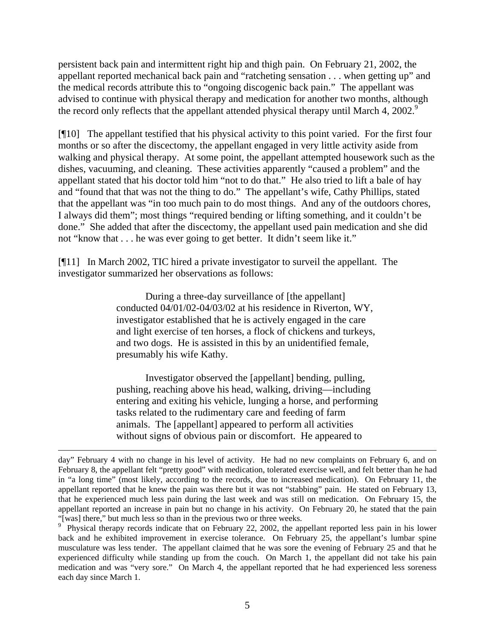persistent back pain and intermittent right hip and thigh pain. On February 21, 2002, the appellant reported mechanical back pain and "ratcheting sensation . . . when getting up" and the medical records attribute this to "ongoing discogenic back pain." The appellant was advised to continue with physical therapy and medication for another two months, although the record only reflects that the appellant attended physical therapy until March 4, 2002.<sup>[9](#page-5-0)</sup>

[¶10] The appellant testified that his physical activity to this point varied. For the first four months or so after the discectomy, the appellant engaged in very little activity aside from walking and physical therapy. At some point, the appellant attempted housework such as the dishes, vacuuming, and cleaning. These activities apparently "caused a problem" and the appellant stated that his doctor told him "not to do that." He also tried to lift a bale of hay and "found that that was not the thing to do." The appellant's wife, Cathy Phillips, stated that the appellant was "in too much pain to do most things. And any of the outdoors chores, I always did them"; most things "required bending or lifting something, and it couldn't be done." She added that after the discectomy, the appellant used pain medication and she did not "know that . . . he was ever going to get better. It didn't seem like it."

[¶11] In March 2002, TIC hired a private investigator to surveil the appellant. The investigator summarized her observations as follows:

> During a three-day surveillance of [the appellant] conducted 04/01/02-04/03/02 at his residence in Riverton, WY, investigator established that he is actively engaged in the care and light exercise of ten horses, a flock of chickens and turkeys, and two dogs. He is assisted in this by an unidentified female, presumably his wife Kathy.

Investigator observed the [appellant] bending, pulling, pushing, reaching above his head, walking, driving—including entering and exiting his vehicle, lunging a horse, and performing tasks related to the rudimentary care and feeding of farm animals. The [appellant] appeared to perform all activities without signs of obvious pain or discomfort. He appeared to

 $\overline{a}$ 

day" February 4 with no change in his level of activity. He had no new complaints on February 6, and on February 8, the appellant felt "pretty good" with medication, tolerated exercise well, and felt better than he had in "a long time" (most likely, according to the records, due to increased medication). On February 11, the appellant reported that he knew the pain was there but it was not "stabbing" pain. He stated on February 13, that he experienced much less pain during the last week and was still on medication. On February 15, the appellant reported an increase in pain but no change in his activity. On February 20, he stated that the pain

<span id="page-5-0"></span><sup>&</sup>quot;[was] there," but much less so than in the previous two or three weeks.<br><sup>9</sup> Physical therapy records indicate that on February 22, 2002, the appellant reported less pain in his lower back and he exhibited improvement in exercise tolerance. On February 25, the appellant's lumbar spine musculature was less tender. The appellant claimed that he was sore the evening of February 25 and that he experienced difficulty while standing up from the couch. On March 1, the appellant did not take his pain medication and was "very sore." On March 4, the appellant reported that he had experienced less soreness each day since March 1.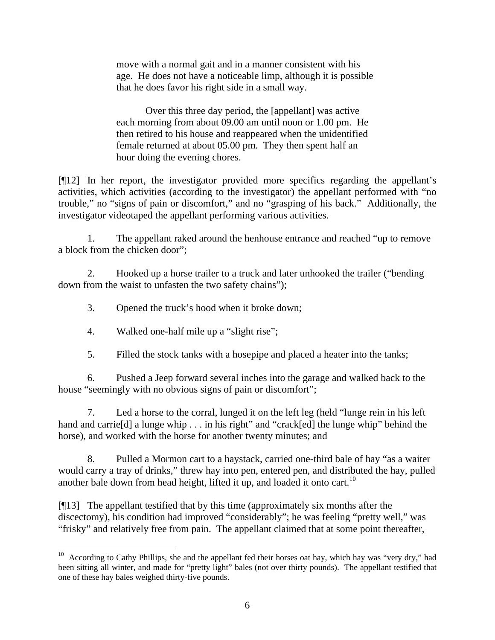move with a normal gait and in a manner consistent with his age. He does not have a noticeable limp, although it is possible that he does favor his right side in a small way.

Over this three day period, the [appellant] was active each morning from about 09.00 am until noon or 1.00 pm. He then retired to his house and reappeared when the unidentified female returned at about 05.00 pm. They then spent half an hour doing the evening chores.

[¶12] In her report, the investigator provided more specifics regarding the appellant's activities, which activities (according to the investigator) the appellant performed with "no trouble," no "signs of pain or discomfort," and no "grasping of his back." Additionally, the investigator videotaped the appellant performing various activities.

1. The appellant raked around the henhouse entrance and reached "up to remove a block from the chicken door";

2. Hooked up a horse trailer to a truck and later unhooked the trailer ("bending down from the waist to unfasten the two safety chains");

3. Opened the truck's hood when it broke down;

4. Walked one-half mile up a "slight rise";

 $\overline{a}$ 

5. Filled the stock tanks with a hosepipe and placed a heater into the tanks;

6. Pushed a Jeep forward several inches into the garage and walked back to the house "seemingly with no obvious signs of pain or discomfort";

7. Led a horse to the corral, lunged it on the left leg (held "lunge rein in his left hand and carrie<sup>[d]</sup> a lunge whip . . . in his right" and "crack[ed] the lunge whip" behind the horse), and worked with the horse for another twenty minutes; and

8. Pulled a Mormon cart to a haystack, carried one-third bale of hay "as a waiter would carry a tray of drinks," threw hay into pen, entered pen, and distributed the hay, pulled another bale down from head height, lifted it up, and loaded it onto cart.<sup>[10](#page-6-0)</sup>

[¶13] The appellant testified that by this time (approximately six months after the discectomy), his condition had improved "considerably"; he was feeling "pretty well," was "frisky" and relatively free from pain. The appellant claimed that at some point thereafter,

<span id="page-6-0"></span> $10$  According to Cathy Phillips, she and the appellant fed their horses oat hay, which hay was "very dry," had been sitting all winter, and made for "pretty light" bales (not over thirty pounds). The appellant testified that one of these hay bales weighed thirty-five pounds.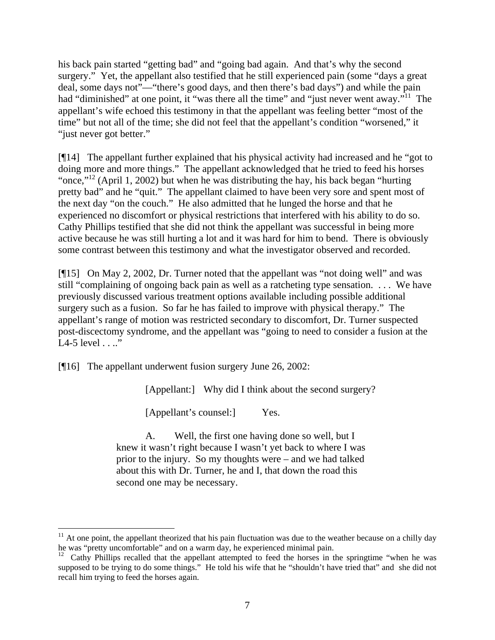his back pain started "getting bad" and "going bad again. And that's why the second surgery." Yet, the appellant also testified that he still experienced pain (some "days a great deal, some days not"—"there's good days, and then there's bad days") and while the pain had "diminished" at one point, it "was there all the time" and "just never went away."<sup>11</sup> The appellant's wife echoed this testimony in that the appellant was feeling better "most of the time" but not all of the time; she did not feel that the appellant's condition "worsened," it "just never got better."

[¶14] The appellant further explained that his physical activity had increased and he "got to doing more and more things." The appellant acknowledged that he tried to feed his horses "once,"<sup>12</sup> (April 1, 2002) but when he was distributing the hay, his back began "hurting" pretty bad" and he "quit." The appellant claimed to have been very sore and spent most of the next day "on the couch." He also admitted that he lunged the horse and that he experienced no discomfort or physical restrictions that interfered with his ability to do so. Cathy Phillips testified that she did not think the appellant was successful in being more active because he was still hurting a lot and it was hard for him to bend. There is obviously some contrast between this testimony and what the investigator observed and recorded.

[¶15] On May 2, 2002, Dr. Turner noted that the appellant was "not doing well" and was still "complaining of ongoing back pain as well as a ratcheting type sensation. . . . We have previously discussed various treatment options available including possible additional surgery such as a fusion. So far he has failed to improve with physical therapy." The appellant's range of motion was restricted secondary to discomfort, Dr. Turner suspected post-discectomy syndrome, and the appellant was "going to need to consider a fusion at the L4-5 level  $\ldots$ "

[¶16] The appellant underwent fusion surgery June 26, 2002:

 $\overline{a}$ 

[Appellant:] Why did I think about the second surgery?

[Appellant's counsel:] Yes.

A. Well, the first one having done so well, but I knew it wasn't right because I wasn't yet back to where I was prior to the injury. So my thoughts were – and we had talked about this with Dr. Turner, he and I, that down the road this second one may be necessary.

<span id="page-7-0"></span><sup>&</sup>lt;sup>11</sup> At one point, the appellant theorized that his pain fluctuation was due to the weather because on a chilly day he was "pretty uncomfortable" and on a warm day, he experienced minimal pain.

<span id="page-7-1"></span> $\frac{12}{12}$  Cathy Phillips recalled that the appellant attempted to feed the horses in the springtime "when he was supposed to be trying to do some things." He told his wife that he "shouldn't have tried that" and she did not recall him trying to feed the horses again.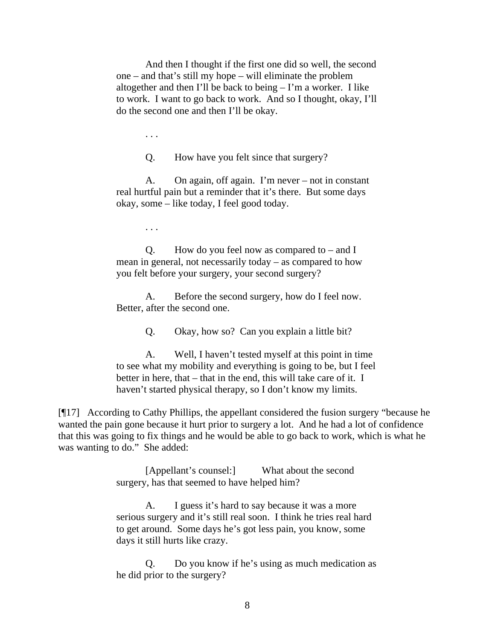And then I thought if the first one did so well, the second one – and that's still my hope – will eliminate the problem altogether and then I'll be back to being – I'm a worker. I like to work. I want to go back to work. And so I thought, okay, I'll do the second one and then I'll be okay.

. . .

Q. How have you felt since that surgery?

A. On again, off again. I'm never – not in constant real hurtful pain but a reminder that it's there. But some days okay, some – like today, I feel good today.

. . .

Q. How do you feel now as compared to – and I mean in general, not necessarily today – as compared to how you felt before your surgery, your second surgery?

A. Before the second surgery, how do I feel now. Better, after the second one.

Q. Okay, how so? Can you explain a little bit?

A. Well, I haven't tested myself at this point in time to see what my mobility and everything is going to be, but I feel better in here, that – that in the end, this will take care of it. I haven't started physical therapy, so I don't know my limits.

[¶17] According to Cathy Phillips, the appellant considered the fusion surgery "because he wanted the pain gone because it hurt prior to surgery a lot. And he had a lot of confidence that this was going to fix things and he would be able to go back to work, which is what he was wanting to do." She added:

> [Appellant's counsel:] What about the second surgery, has that seemed to have helped him?

A. I guess it's hard to say because it was a more serious surgery and it's still real soon. I think he tries real hard to get around. Some days he's got less pain, you know, some days it still hurts like crazy.

Q. Do you know if he's using as much medication as he did prior to the surgery?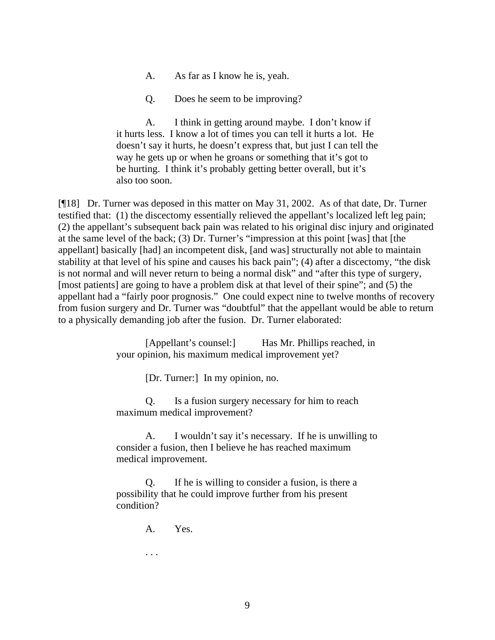- A. As far as I know he is, yeah.
- Q. Does he seem to be improving?

A. I think in getting around maybe. I don't know if it hurts less. I know a lot of times you can tell it hurts a lot. He doesn't say it hurts, he doesn't express that, but just I can tell the way he gets up or when he groans or something that it's got to be hurting. I think it's probably getting better overall, but it's also too soon.

[¶18] Dr. Turner was deposed in this matter on May 31, 2002. As of that date, Dr. Turner testified that: (1) the discectomy essentially relieved the appellant's localized left leg pain; (2) the appellant's subsequent back pain was related to his original disc injury and originated at the same level of the back; (3) Dr. Turner's "impression at this point [was] that [the appellant] basically [had] an incompetent disk, [and was] structurally not able to maintain stability at that level of his spine and causes his back pain"; (4) after a discectomy, "the disk is not normal and will never return to being a normal disk" and "after this type of surgery, [most patients] are going to have a problem disk at that level of their spine"; and (5) the appellant had a "fairly poor prognosis." One could expect nine to twelve months of recovery from fusion surgery and Dr. Turner was "doubtful" that the appellant would be able to return to a physically demanding job after the fusion. Dr. Turner elaborated:

> [Appellant's counsel:] Has Mr. Phillips reached, in your opinion, his maximum medical improvement yet?

> > [Dr. Turner:] In my opinion, no.

Q. Is a fusion surgery necessary for him to reach maximum medical improvement?

A. I wouldn't say it's necessary. If he is unwilling to consider a fusion, then I believe he has reached maximum medical improvement.

Q. If he is willing to consider a fusion, is there a possibility that he could improve further from his present condition?

A. Yes.

. . .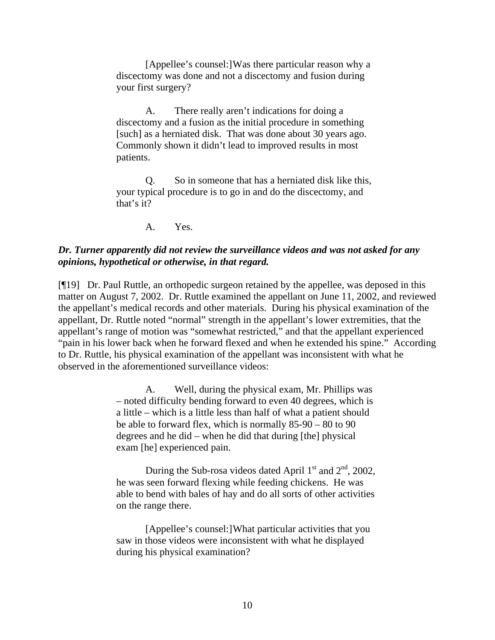[Appellee's counsel:]Was there particular reason why a discectomy was done and not a discectomy and fusion during your first surgery?

A. There really aren't indications for doing a discectomy and a fusion as the initial procedure in something [such] as a herniated disk. That was done about 30 years ago. Commonly shown it didn't lead to improved results in most patients.

Q. So in someone that has a herniated disk like this, your typical procedure is to go in and do the discectomy, and that's it?

A. Yes.

### *Dr. Turner apparently did not review the surveillance videos and was not asked for any opinions, hypothetical or otherwise, in that regard.*

[¶19] Dr. Paul Ruttle, an orthopedic surgeon retained by the appellee, was deposed in this matter on August 7, 2002. Dr. Ruttle examined the appellant on June 11, 2002, and reviewed the appellant's medical records and other materials. During his physical examination of the appellant, Dr. Ruttle noted "normal" strength in the appellant's lower extremities, that the appellant's range of motion was "somewhat restricted," and that the appellant experienced "pain in his lower back when he forward flexed and when he extended his spine." According to Dr. Ruttle, his physical examination of the appellant was inconsistent with what he observed in the aforementioned surveillance videos:

> A. Well, during the physical exam, Mr. Phillips was – noted difficulty bending forward to even 40 degrees, which is a little – which is a little less than half of what a patient should be able to forward flex, which is normally 85-90 – 80 to 90 degrees and he did – when he did that during [the] physical exam [he] experienced pain.

> During the Sub-rosa videos dated April  $1<sup>st</sup>$  and  $2<sup>nd</sup>$ , 2002, he was seen forward flexing while feeding chickens. He was able to bend with bales of hay and do all sorts of other activities on the range there.

[Appellee's counsel:]What particular activities that you saw in those videos were inconsistent with what he displayed during his physical examination?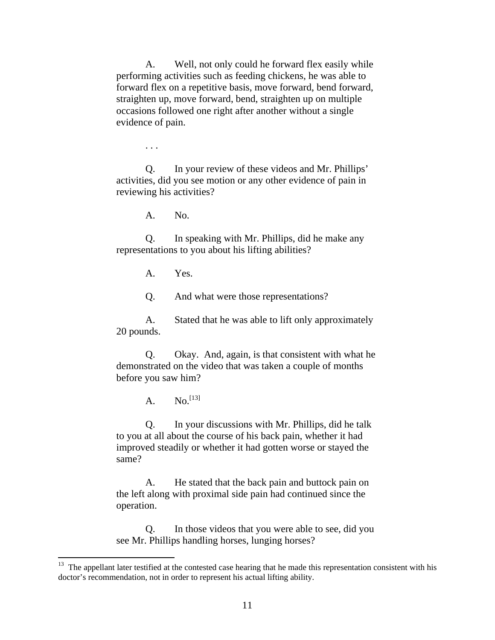A. Well, not only could he forward flex easily while performing activities such as feeding chickens, he was able to forward flex on a repetitive basis, move forward, bend forward, straighten up, move forward, bend, straighten up on multiple occasions followed one right after another without a single evidence of pain.

. . .

Q. In your review of these videos and Mr. Phillips' activities, did you see motion or any other evidence of pain in reviewing his activities?

A. No.

Q. In speaking with Mr. Phillips, did he make any representations to you about his lifting abilities?

A. Yes.

Q. And what were those representations?

A. Stated that he was able to lift only approximately 20 pounds.

Q. Okay. And, again, is that consistent with what he demonstrated on the video that was taken a couple of months before you saw him?

A.  $No.$ <sup>[\[13\]](#page-11-0)</sup>

Q. In your discussions with Mr. Phillips, did he talk to you at all about the course of his back pain, whether it had improved steadily or whether it had gotten worse or stayed the same?

A. He stated that the back pain and buttock pain on the left along with proximal side pain had continued since the operation.

Q. In those videos that you were able to see, did you see Mr. Phillips handling horses, lunging horses?

<span id="page-11-0"></span> $13$  The appellant later testified at the contested case hearing that he made this representation consistent with his doctor's recommendation, not in order to represent his actual lifting ability.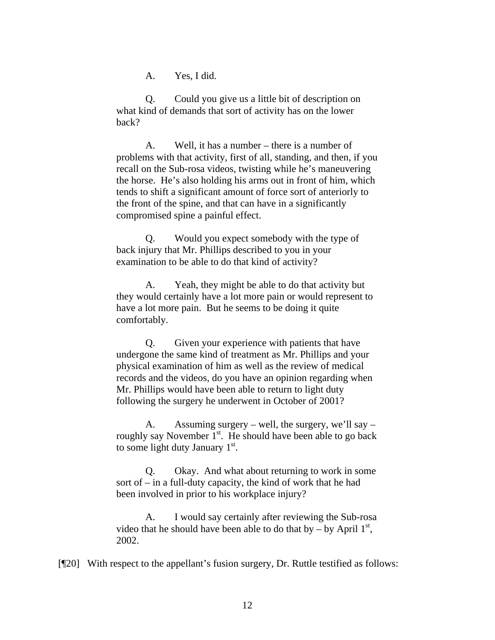A. Yes, I did.

Q. Could you give us a little bit of description on what kind of demands that sort of activity has on the lower back?

A. Well, it has a number – there is a number of problems with that activity, first of all, standing, and then, if you recall on the Sub-rosa videos, twisting while he's maneuvering the horse. He's also holding his arms out in front of him, which tends to shift a significant amount of force sort of anteriorly to the front of the spine, and that can have in a significantly compromised spine a painful effect.

Q. Would you expect somebody with the type of back injury that Mr. Phillips described to you in your examination to be able to do that kind of activity?

A. Yeah, they might be able to do that activity but they would certainly have a lot more pain or would represent to have a lot more pain. But he seems to be doing it quite comfortably.

Q. Given your experience with patients that have undergone the same kind of treatment as Mr. Phillips and your physical examination of him as well as the review of medical records and the videos, do you have an opinion regarding when Mr. Phillips would have been able to return to light duty following the surgery he underwent in October of 2001?

A. Assuming surgery – well, the surgery, we'll say – roughly say November  $1<sup>st</sup>$ . He should have been able to go back to some light duty January  $1<sup>st</sup>$ .

Q. Okay. And what about returning to work in some sort of – in a full-duty capacity, the kind of work that he had been involved in prior to his workplace injury?

A. I would say certainly after reviewing the Sub-rosa video that he should have been able to do that by  $-$  by April 1<sup>st</sup>, 2002.

[¶20] With respect to the appellant's fusion surgery, Dr. Ruttle testified as follows: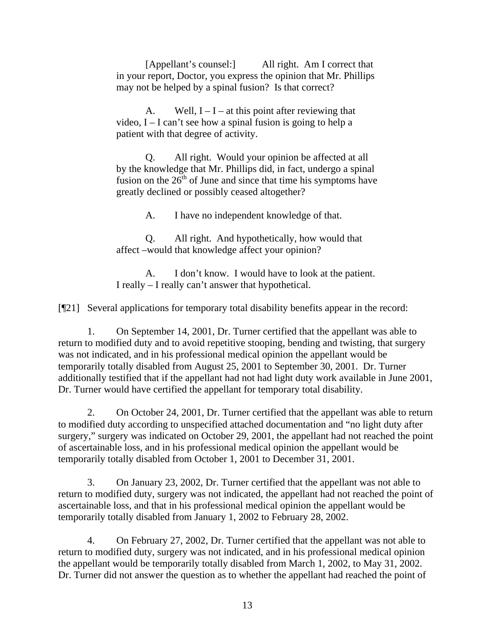[Appellant's counsel:] All right. Am I correct that in your report, Doctor, you express the opinion that Mr. Phillips may not be helped by a spinal fusion? Is that correct?

A. Well,  $I - I - at$  this point after reviewing that video,  $I - I$  can't see how a spinal fusion is going to help a patient with that degree of activity.

Q. All right. Would your opinion be affected at all by the knowledge that Mr. Phillips did, in fact, undergo a spinal fusion on the  $26<sup>th</sup>$  of June and since that time his symptoms have greatly declined or possibly ceased altogether?

A. I have no independent knowledge of that.

Q. All right. And hypothetically, how would that affect –would that knowledge affect your opinion?

A. I don't know. I would have to look at the patient. I really – I really can't answer that hypothetical.

[¶21] Several applications for temporary total disability benefits appear in the record:

1. On September 14, 2001, Dr. Turner certified that the appellant was able to return to modified duty and to avoid repetitive stooping, bending and twisting, that surgery was not indicated, and in his professional medical opinion the appellant would be temporarily totally disabled from August 25, 2001 to September 30, 2001. Dr. Turner additionally testified that if the appellant had not had light duty work available in June 2001, Dr. Turner would have certified the appellant for temporary total disability.

2. On October 24, 2001, Dr. Turner certified that the appellant was able to return to modified duty according to unspecified attached documentation and "no light duty after surgery," surgery was indicated on October 29, 2001, the appellant had not reached the point of ascertainable loss, and in his professional medical opinion the appellant would be temporarily totally disabled from October 1, 2001 to December 31, 2001.

3. On January 23, 2002, Dr. Turner certified that the appellant was not able to return to modified duty, surgery was not indicated, the appellant had not reached the point of ascertainable loss, and that in his professional medical opinion the appellant would be temporarily totally disabled from January 1, 2002 to February 28, 2002.

4. On February 27, 2002, Dr. Turner certified that the appellant was not able to return to modified duty, surgery was not indicated, and in his professional medical opinion the appellant would be temporarily totally disabled from March 1, 2002, to May 31, 2002. Dr. Turner did not answer the question as to whether the appellant had reached the point of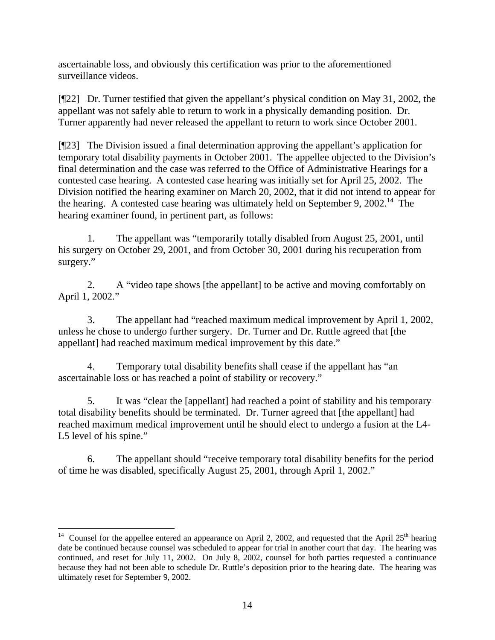ascertainable loss, and obviously this certification was prior to the aforementioned surveillance videos.

[¶22] Dr. Turner testified that given the appellant's physical condition on May 31, 2002, the appellant was not safely able to return to work in a physically demanding position. Dr. Turner apparently had never released the appellant to return to work since October 2001.

[¶23] The Division issued a final determination approving the appellant's application for temporary total disability payments in October 2001. The appellee objected to the Division's final determination and the case was referred to the Office of Administrative Hearings for a contested case hearing. A contested case hearing was initially set for April 25, 2002. The Division notified the hearing examiner on March 20, 2002, that it did not intend to appear for the hearing. A contested case hearing was ultimately held on September 9, 2002.[14](#page-14-0) The hearing examiner found, in pertinent part, as follows:

1. The appellant was "temporarily totally disabled from August 25, 2001, until his surgery on October 29, 2001, and from October 30, 2001 during his recuperation from surgery."

2. A "video tape shows [the appellant] to be active and moving comfortably on April 1, 2002."

3. The appellant had "reached maximum medical improvement by April 1, 2002, unless he chose to undergo further surgery. Dr. Turner and Dr. Ruttle agreed that [the appellant] had reached maximum medical improvement by this date."

4. Temporary total disability benefits shall cease if the appellant has "an ascertainable loss or has reached a point of stability or recovery."

5. It was "clear the [appellant] had reached a point of stability and his temporary total disability benefits should be terminated. Dr. Turner agreed that [the appellant] had reached maximum medical improvement until he should elect to undergo a fusion at the L4- L5 level of his spine."

6. The appellant should "receive temporary total disability benefits for the period of time he was disabled, specifically August 25, 2001, through April 1, 2002."

<span id="page-14-0"></span> $\overline{a}$ <sup>14</sup> Counsel for the appellee entered an appearance on April 2, 2002, and requested that the April 25<sup>th</sup> hearing date be continued because counsel was scheduled to appear for trial in another court that day. The hearing was continued, and reset for July 11, 2002. On July 8, 2002, counsel for both parties requested a continuance because they had not been able to schedule Dr. Ruttle's deposition prior to the hearing date. The hearing was ultimately reset for September 9, 2002.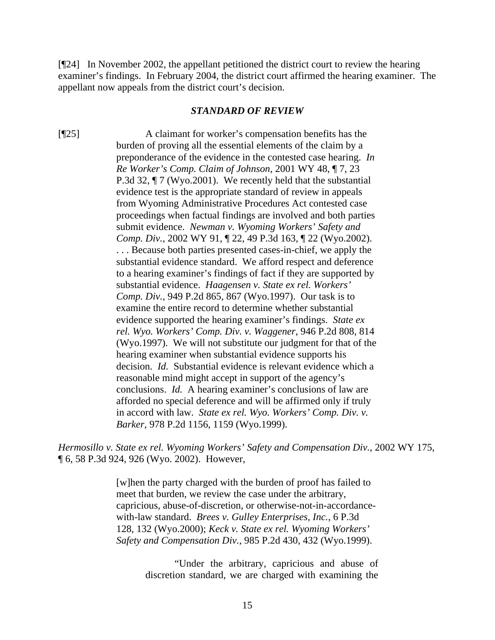[¶24] In November 2002, the appellant petitioned the district court to review the hearing examiner's findings. In February 2004, the district court affirmed the hearing examiner. The appellant now appeals from the district court's decision.

#### *STANDARD OF REVIEW*

[¶25] A claimant for worker's compensation benefits has the burden of proving all the essential elements of the claim by a preponderance of the evidence in the contested case hearing. *In Re Worker's Comp. Claim of Johnson*, 2001 WY 48, ¶ 7, 23 P.3d 32, ¶ 7 (Wyo.2001). We recently held that the substantial evidence test is the appropriate standard of review in appeals from Wyoming Administrative Procedures Act contested case proceedings when factual findings are involved and both parties submit evidence. *Newman v. Wyoming Workers' Safety and Comp. Div.*, 2002 WY 91, ¶ 22, 49 P.3d 163, ¶ 22 (Wyo.2002). . . . Because both parties presented cases-in-chief, we apply the substantial evidence standard. We afford respect and deference to a hearing examiner's findings of fact if they are supported by substantial evidence. *Haagensen v. State ex rel. Workers' Comp. Div.*, 949 P.2d 865, 867 (Wyo.1997). Our task is to examine the entire record to determine whether substantial evidence supported the hearing examiner's findings. *State ex rel. Wyo. Workers' Comp. Div. v. Waggener*, 946 P.2d 808, 814 (Wyo.1997). We will not substitute our judgment for that of the hearing examiner when substantial evidence supports his decision. *Id.* Substantial evidence is relevant evidence which a reasonable mind might accept in support of the agency's conclusions. *Id.* A hearing examiner's conclusions of law are afforded no special deference and will be affirmed only if truly in accord with law. *State ex rel. Wyo. Workers' Comp. Div. v. Barker*, 978 P.2d 1156, 1159 (Wyo.1999).

*Hermosillo v. State ex rel. Wyoming Workers' Safety and Compensation Div.*, 2002 WY 175, ¶ 6, 58 P.3d 924, 926 (Wyo. 2002). However,

> [w]hen the party charged with the burden of proof has failed to meet that burden, we review the case under the arbitrary, capricious, abuse-of-discretion, or otherwise-not-in-accordancewith-law standard. *Brees v. Gulley Enterprises, Inc.*, 6 P.3d 128, 132 (Wyo.2000); *Keck v. State ex rel. Wyoming Workers' Safety and Compensation Div.*, 985 P.2d 430, 432 (Wyo.1999).

> > "Under the arbitrary, capricious and abuse of discretion standard, we are charged with examining the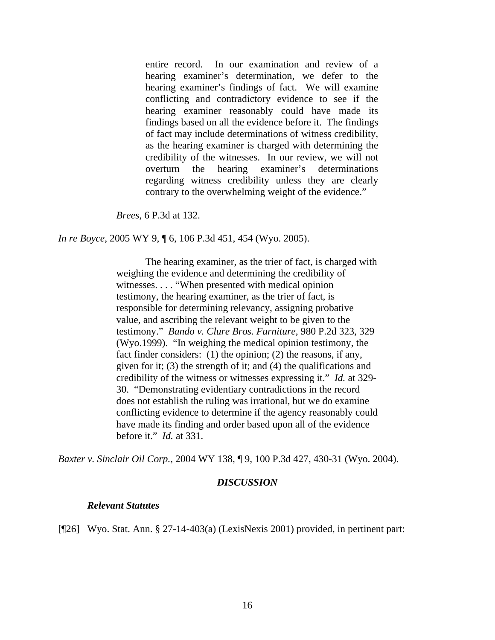entire record. In our examination and review of a hearing examiner's determination, we defer to the hearing examiner's findings of fact. We will examine conflicting and contradictory evidence to see if the hearing examiner reasonably could have made its findings based on all the evidence before it. The findings of fact may include determinations of witness credibility, as the hearing examiner is charged with determining the credibility of the witnesses. In our review, we will not overturn the hearing examiner's determinations regarding witness credibility unless they are clearly contrary to the overwhelming weight of the evidence."

*Brees*, 6 P.3d at 132.

*In re Boyce*, 2005 WY 9, ¶ 6, 106 P.3d 451, 454 (Wyo. 2005).

The hearing examiner, as the trier of fact, is charged with weighing the evidence and determining the credibility of witnesses. . . . "When presented with medical opinion testimony, the hearing examiner, as the trier of fact, is responsible for determining relevancy, assigning probative value, and ascribing the relevant weight to be given to the testimony." *Bando v. Clure Bros. Furniture*, 980 P.2d 323, 329 (Wyo.1999). "In weighing the medical opinion testimony, the fact finder considers: (1) the opinion; (2) the reasons, if any, given for it; (3) the strength of it; and (4) the qualifications and credibility of the witness or witnesses expressing it." *Id.* at 329- 30. "Demonstrating evidentiary contradictions in the record does not establish the ruling was irrational, but we do examine conflicting evidence to determine if the agency reasonably could have made its finding and order based upon all of the evidence before it." *Id.* at 331.

*Baxter v. Sinclair Oil Corp.*, 2004 WY 138, ¶ 9, 100 P.3d 427, 430-31 (Wyo. 2004).

#### *DISCUSSION*

#### *Relevant Statutes*

[¶26] Wyo. Stat. Ann. § 27-14-403(a) (LexisNexis 2001) provided, in pertinent part: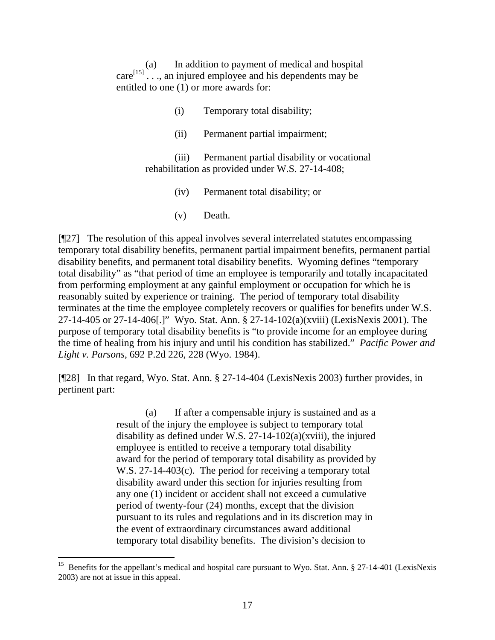(a) In addition to payment of medical and hospital  $care^{[15]} \dots$  $care^{[15]} \dots$  $care^{[15]} \dots$ , an injured employee and his dependents may be entitled to one (1) or more awards for:

(i) Temporary total disability;

(ii) Permanent partial impairment;

(iii) Permanent partial disability or vocational rehabilitation as provided under W.S. 27-14-408;

(iv) Permanent total disability; or

(v) Death.

[¶27] The resolution of this appeal involves several interrelated statutes encompassing temporary total disability benefits, permanent partial impairment benefits, permanent partial disability benefits, and permanent total disability benefits. Wyoming defines "temporary total disability" as "that period of time an employee is temporarily and totally incapacitated from performing employment at any gainful employment or occupation for which he is reasonably suited by experience or training. The period of temporary total disability terminates at the time the employee completely recovers or qualifies for benefits under W.S. 27-14-405 or 27-14-406[.]" Wyo. Stat. Ann. § 27-14-102(a)(xviii) (LexisNexis 2001). The purpose of temporary total disability benefits is "to provide income for an employee during the time of healing from his injury and until his condition has stabilized." *Pacific Power and Light v. Parsons*, 692 P.2d 226, 228 (Wyo. 1984).

[¶28] In that regard, Wyo. Stat. Ann. § 27-14-404 (LexisNexis 2003) further provides, in pertinent part:

> (a) If after a compensable injury is sustained and as a result of the injury the employee is subject to temporary total disability as defined under W.S.  $27-14-102(a)(xviii)$ , the injured employee is entitled to receive a temporary total disability award for the period of temporary total disability as provided by W.S. 27-14-403(c). The period for receiving a temporary total disability award under this section for injuries resulting from any one (1) incident or accident shall not exceed a cumulative period of twenty-four (24) months, except that the division pursuant to its rules and regulations and in its discretion may in the event of extraordinary circumstances award additional temporary total disability benefits. The division's decision to

 $\overline{a}$ 

<span id="page-17-0"></span><sup>&</sup>lt;sup>15</sup> Benefits for the appellant's medical and hospital care pursuant to Wyo. Stat. Ann. § 27-14-401 (LexisNexis 2003) are not at issue in this appeal.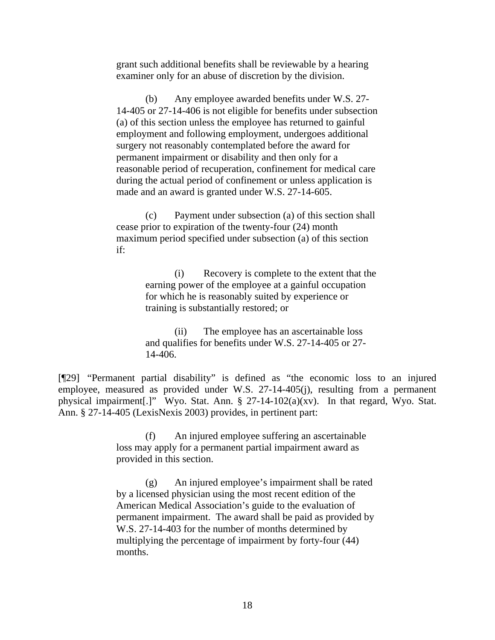grant such additional benefits shall be reviewable by a hearing examiner only for an abuse of discretion by the division.

(b) Any employee awarded benefits under W.S. 27- 14-405 or 27-14-406 is not eligible for benefits under subsection (a) of this section unless the employee has returned to gainful employment and following employment, undergoes additional surgery not reasonably contemplated before the award for permanent impairment or disability and then only for a reasonable period of recuperation, confinement for medical care during the actual period of confinement or unless application is made and an award is granted under W.S. 27-14-605.

(c) Payment under subsection (a) of this section shall cease prior to expiration of the twenty-four (24) month maximum period specified under subsection (a) of this section if:

> (i) Recovery is complete to the extent that the earning power of the employee at a gainful occupation for which he is reasonably suited by experience or training is substantially restored; or

(ii) The employee has an ascertainable loss and qualifies for benefits under W.S. 27-14-405 or 27- 14-406.

[¶29] "Permanent partial disability" is defined as "the economic loss to an injured employee, measured as provided under W.S. 27-14-405(j), resulting from a permanent physical impairment[.]" Wyo. Stat. Ann. § 27-14-102(a)(xv). In that regard, Wyo. Stat. Ann. § 27-14-405 (LexisNexis 2003) provides, in pertinent part:

> (f) An injured employee suffering an ascertainable loss may apply for a permanent partial impairment award as provided in this section.

(g) An injured employee's impairment shall be rated by a licensed physician using the most recent edition of the American Medical Association's guide to the evaluation of permanent impairment. The award shall be paid as provided by W.S. 27-14-403 for the number of months determined by multiplying the percentage of impairment by forty-four (44) months.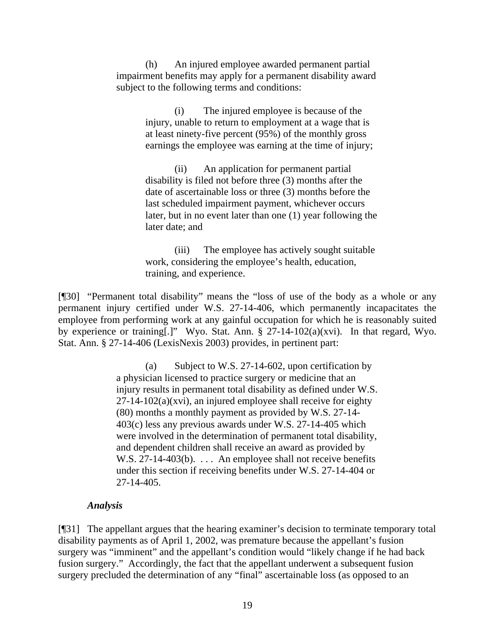(h) An injured employee awarded permanent partial impairment benefits may apply for a permanent disability award subject to the following terms and conditions:

> (i) The injured employee is because of the injury, unable to return to employment at a wage that is at least ninety-five percent (95%) of the monthly gross earnings the employee was earning at the time of injury;

(ii) An application for permanent partial disability is filed not before three (3) months after the date of ascertainable loss or three (3) months before the last scheduled impairment payment, whichever occurs later, but in no event later than one (1) year following the later date; and

(iii) The employee has actively sought suitable work, considering the employee's health, education, training, and experience.

[¶30] "Permanent total disability" means the "loss of use of the body as a whole or any permanent injury certified under W.S. 27-14-406, which permanently incapacitates the employee from performing work at any gainful occupation for which he is reasonably suited by experience or training[.]" Wyo. Stat. Ann. § 27-14-102(a)(xvi). In that regard, Wyo. Stat. Ann. § 27-14-406 (LexisNexis 2003) provides, in pertinent part:

> (a) Subject to W.S. 27-14-602, upon certification by a physician licensed to practice surgery or medicine that an injury results in permanent total disability as defined under W.S. 27-14-102(a)(xvi), an injured employee shall receive for eighty (80) months a monthly payment as provided by W.S. 27-14- 403(c) less any previous awards under W.S. 27-14-405 which were involved in the determination of permanent total disability, and dependent children shall receive an award as provided by W.S. 27-14-403(b). . . . An employee shall not receive benefits under this section if receiving benefits under W.S. 27-14-404 or 27-14-405.

## *Analysis*

[¶31] The appellant argues that the hearing examiner's decision to terminate temporary total disability payments as of April 1, 2002, was premature because the appellant's fusion surgery was "imminent" and the appellant's condition would "likely change if he had back fusion surgery." Accordingly, the fact that the appellant underwent a subsequent fusion surgery precluded the determination of any "final" ascertainable loss (as opposed to an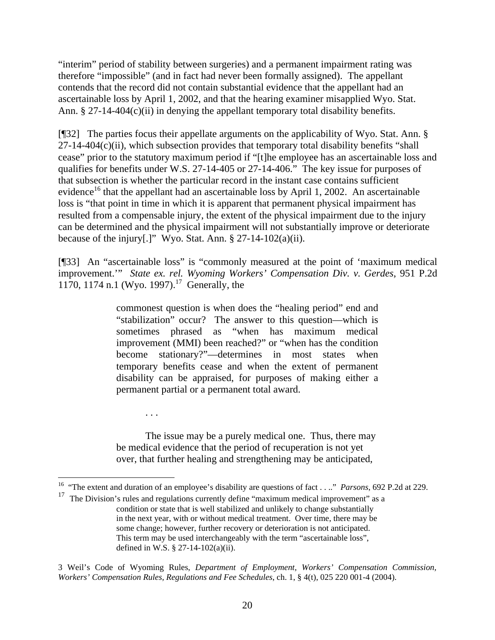"interim" period of stability between surgeries) and a permanent impairment rating was therefore "impossible" (and in fact had never been formally assigned). The appellant contends that the record did not contain substantial evidence that the appellant had an ascertainable loss by April 1, 2002, and that the hearing examiner misapplied Wyo. Stat. Ann. § 27-14-404(c)(ii) in denying the appellant temporary total disability benefits.

[¶32] The parties focus their appellate arguments on the applicability of Wyo. Stat. Ann. §  $27-14-404(c)$ (ii), which subsection provides that temporary total disability benefits "shall cease" prior to the statutory maximum period if "[t]he employee has an ascertainable loss and qualifies for benefits under W.S. 27-14-405 or 27-14-406." The key issue for purposes of that subsection is whether the particular record in the instant case contains sufficient evidence<sup>16</sup> that the appellant had an ascertainable loss by April 1, 2002. An ascertainable loss is "that point in time in which it is apparent that permanent physical impairment has resulted from a compensable injury, the extent of the physical impairment due to the injury can be determined and the physical impairment will not substantially improve or deteriorate because of the injury[.]" Wyo. Stat. Ann. § 27-14-102(a)(ii).

[¶33] An "ascertainable loss" is "commonly measured at the point of 'maximum medical improvement.'" *State ex. rel. Wyoming Workers' Compensation Div. v. Gerdes*, 951 P.2d 1170, 1174 n.1 (Wyo. 1997).<sup>17</sup> Generally, the

> commonest question is when does the "healing period" end and "stabilization" occur? The answer to this question—which is sometimes phrased as "when has maximum medical improvement (MMI) been reached?" or "when has the condition become stationary?"—determines in most states when temporary benefits cease and when the extent of permanent disability can be appraised, for purposes of making either a permanent partial or a permanent total award.

The issue may be a purely medical one. Thus, there may be medical evidence that the period of recuperation is not yet over, that further healing and strengthening may be anticipated,

. . .

<span id="page-20-0"></span><sup>16 &</sup>quot;The extent and duration of an employee's disability are questions of fact . . .." *Parsons*, 692 P.2d at 229.

<span id="page-20-1"></span> $17$  The Division's rules and regulations currently define "maximum medical improvement" as a condition or state that is well stabilized and unlikely to change substantially in the next year, with or without medical treatment. Over time, there may be some change; however, further recovery or deterioration is not anticipated. This term may be used interchangeably with the term "ascertainable loss", defined in W.S. § 27-14-102(a)(ii).

<sup>3</sup> Weil's Code of Wyoming Rules, *Department of Employment, Workers' Compensation Commission, Workers' Compensation Rules, Regulations and Fee Schedules*, ch. 1, § 4(t), 025 220 001-4 (2004).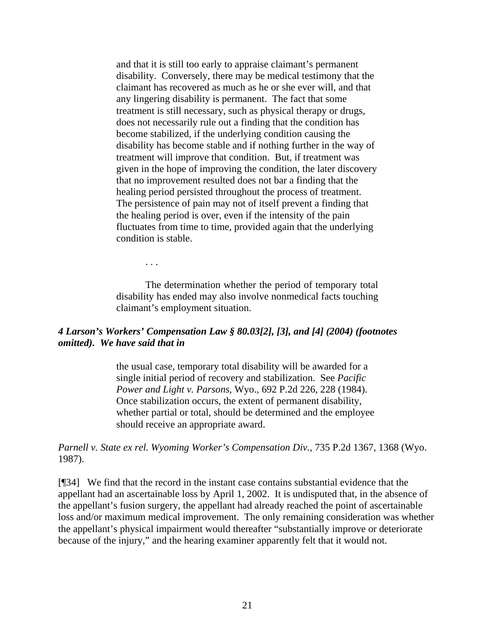and that it is still too early to appraise claimant's permanent disability. Conversely, there may be medical testimony that the claimant has recovered as much as he or she ever will, and that any lingering disability is permanent. The fact that some treatment is still necessary, such as physical therapy or drugs, does not necessarily rule out a finding that the condition has become stabilized, if the underlying condition causing the disability has become stable and if nothing further in the way of treatment will improve that condition. But, if treatment was given in the hope of improving the condition, the later discovery that no improvement resulted does not bar a finding that the healing period persisted throughout the process of treatment. The persistence of pain may not of itself prevent a finding that the healing period is over, even if the intensity of the pain fluctuates from time to time, provided again that the underlying condition is stable.

. . .

The determination whether the period of temporary total disability has ended may also involve nonmedical facts touching claimant's employment situation.

# *4 Larson's Workers' Compensation Law § 80.03[2], [3], and [4] (2004) (footnotes omitted). We have said that in*

the usual case, temporary total disability will be awarded for a single initial period of recovery and stabilization. See *Pacific Power and Light v. Parsons*, Wyo., 692 P.2d 226, 228 (1984). Once stabilization occurs, the extent of permanent disability, whether partial or total, should be determined and the employee should receive an appropriate award.

*Parnell v. State ex rel. Wyoming Worker's Compensation Div.*, 735 P.2d 1367, 1368 (Wyo. 1987).

[¶34] We find that the record in the instant case contains substantial evidence that the appellant had an ascertainable loss by April 1, 2002. It is undisputed that, in the absence of the appellant's fusion surgery, the appellant had already reached the point of ascertainable loss and/or maximum medical improvement. The only remaining consideration was whether the appellant's physical impairment would thereafter "substantially improve or deteriorate because of the injury," and the hearing examiner apparently felt that it would not.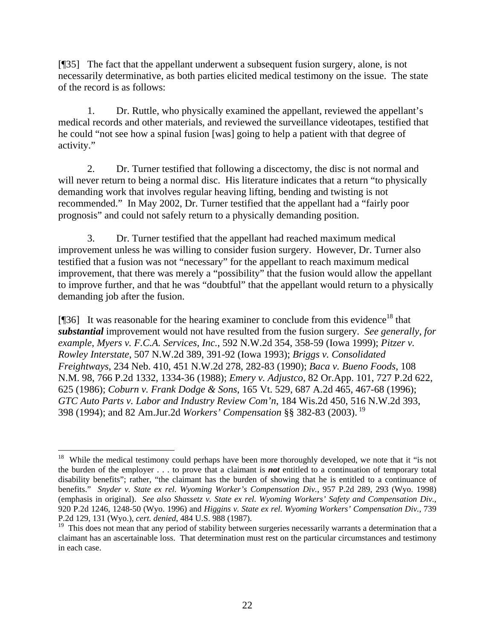[¶35] The fact that the appellant underwent a subsequent fusion surgery, alone, is not necessarily determinative, as both parties elicited medical testimony on the issue. The state of the record is as follows:

1. Dr. Ruttle, who physically examined the appellant, reviewed the appellant's medical records and other materials, and reviewed the surveillance videotapes, testified that he could "not see how a spinal fusion [was] going to help a patient with that degree of activity."

2. Dr. Turner testified that following a discectomy, the disc is not normal and will never return to being a normal disc. His literature indicates that a return "to physically demanding work that involves regular heaving lifting, bending and twisting is not recommended." In May 2002, Dr. Turner testified that the appellant had a "fairly poor prognosis" and could not safely return to a physically demanding position.

3. Dr. Turner testified that the appellant had reached maximum medical improvement unless he was willing to consider fusion surgery. However, Dr. Turner also testified that a fusion was not "necessary" for the appellant to reach maximum medical improvement, that there was merely a "possibility" that the fusion would allow the appellant to improve further, and that he was "doubtful" that the appellant would return to a physically demanding job after the fusion.

[ $[$ ]36] It was reasonable for the hearing examiner to conclude from this evidence<sup>18</sup> that *substantial* improvement would not have resulted from the fusion surgery. *See generally, for example, Myers v. F.C.A. Services, Inc.*, 592 N.W.2d 354, 358-59 (Iowa 1999); *Pitzer v. Rowley Interstate*, 507 N.W.2d 389, 391-92 (Iowa 1993); *Briggs v. Consolidated Freightways*, 234 Neb. 410, 451 N.W.2d 278, 282-83 (1990); *Baca v. Bueno Foods*, 108 N.M. 98, 766 P.2d 1332, 1334-36 (1988); *Emery v. Adjustco*, 82 Or.App. 101, 727 P.2d 622, 625 (1986); *Coburn v. Frank Dodge & Sons*, 165 Vt. 529, 687 A.2d 465, 467-68 (1996); *GTC Auto Parts v. Labor and Industry Review Com'n*, 184 Wis.2d 450, 516 N.W.2d 393, 398 (1994); and 82 Am.Jur.2d *Workers' Compensation* §§ 382-83 (2003). [19](#page-22-1)

 $\overline{a}$ 

<span id="page-22-0"></span><sup>&</sup>lt;sup>18</sup> While the medical testimony could perhaps have been more thoroughly developed, we note that it "is not the burden of the employer . . . to prove that a claimant is *not* entitled to a continuation of temporary total disability benefits"; rather, "the claimant has the burden of showing that he is entitled to a continuance of benefits." *Snyder v. State ex rel. Wyoming Worker's Compensation Div.*, 957 P.2d 289, 293 (Wyo. 1998) (emphasis in original). *See also Shassetz v. State ex rel. Wyoming Workers' Safety and Compensation Div.*, 920 P.2d 1246, 1248-50 (Wyo. 1996) and *Higgins v. State ex rel. Wyoming Workers' Compensation Div.*, 739 P.2d 129, 131 (Wyo.), *cert. denied*, 484 U.S. 988 (1987).<br><sup>19</sup> This does not mean that any period of stability between surgeries necessarily warrants a determination that a

<span id="page-22-1"></span>claimant has an ascertainable loss. That determination must rest on the particular circumstances and testimony in each case.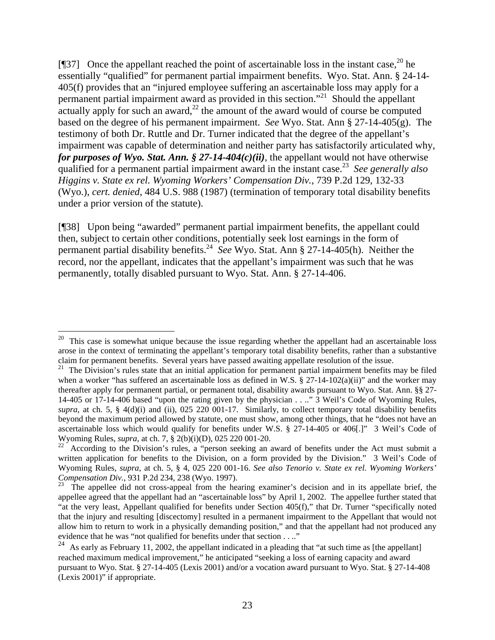[ $[$ ][37] Once the appellant reached the point of ascertainable loss in the instant case,  $^{20}$  he essentially "qualified" for permanent partial impairment benefits. Wyo. Stat. Ann. § 24-14- 405(f) provides that an "injured employee suffering an ascertainable loss may apply for a permanent partial impairment award as provided in this section."[21](#page-23-1) Should the appellant actually apply for such an award, $^{22}$  the amount of the award would of course be computed based on the degree of his permanent impairment. *See* Wyo. Stat. Ann § 27-14-405(g). The testimony of both Dr. Ruttle and Dr. Turner indicated that the degree of the appellant's impairment was capable of determination and neither party has satisfactorily articulated why, *for purposes of Wyo. Stat. Ann.*  $\S 27$ -14-404(c)(*ii*), the appellant would not have otherwise qualified for a permanent partial impairment award in the instant case.[23](#page-23-3) *See generally also Higgins v. State ex rel. Wyoming Workers' Compensation Div.*, 739 P.2d 129, 132-33 (Wyo.), *cert. denied*, 484 U.S. 988 (1987) (termination of temporary total disability benefits under a prior version of the statute).

[¶38] Upon being "awarded" permanent partial impairment benefits, the appellant could then, subject to certain other conditions, potentially seek lost earnings in the form of permanent partial disability benefits.<sup>24</sup> *See* Wyo. Stat. Ann § 27-14-405(h). Neither the record, nor the appellant, indicates that the appellant's impairment was such that he was permanently, totally disabled pursuant to Wyo. Stat. Ann. § 27-14-406.

<span id="page-23-0"></span> $20$  This case is somewhat unique because the issue regarding whether the appellant had an ascertainable loss arose in the context of terminating the appellant's temporary total disability benefits, rather than a substantive claim for permanent benefits. Several years have passed awaiting appellate resolution of the issue.

<span id="page-23-1"></span> $21$  The Division's rules state that an initial application for permanent partial impairment benefits may be filed when a worker "has suffered an ascertainable loss as defined in W.S. § 27-14-102(a)(ii)" and the worker may thereafter apply for permanent partial, or permanent total, disability awards pursuant to Wyo. Stat. Ann. §§ 27- 14-405 or 17-14-406 based "upon the rating given by the physician . . .." 3 Weil's Code of Wyoming Rules, *supra*, at ch. 5, § 4(d)(i) and (ii), 025 220 001-17. Similarly, to collect temporary total disability benefits beyond the maximum period allowed by statute, one must show, among other things, that he "does not have an ascertainable loss which would qualify for benefits under W.S. § 27-14-405 or 406[.]" 3 Weil's Code of Wyoming Rules, *supra*, at ch. 7, § 2(b)(i)(D), 025 220 001-20.<br><sup>22</sup> According to the Division's rules, a "person seeking an award of benefits under the Act must submit a

<span id="page-23-2"></span>written application for benefits to the Division, on a form provided by the Division." 3 Weil's Code of Wyoming Rules, *supra*, at ch. 5, § 4, 025 220 001-16. *See also Tenorio v. State ex rel. Wyoming Workers' Compensation Div.*, 931 P.2d 234, 238 (Wyo. 1997).

<span id="page-23-3"></span><sup>23</sup> The appellee did not cross-appeal from the hearing examiner's decision and in its appellate brief, the appellee agreed that the appellant had an "ascertainable loss" by April 1, 2002. The appellee further stated that "at the very least, Appellant qualified for benefits under Section 405(f)," that Dr. Turner "specifically noted that the injury and resulting [discectomy] resulted in a permanent impairment to the Appellant that would not allow him to return to work in a physically demanding position," and that the appellant had not produced any evidence that he was "not qualified for benefits under that section . . .."

<span id="page-23-4"></span><sup>&</sup>lt;sup>24</sup> As early as February 11, 2002, the appellant indicated in a pleading that "at such time as [the appellant] reached maximum medical improvement," he anticipated "seeking a loss of earning capacity and award pursuant to Wyo. Stat. § 27-14-405 (Lexis 2001) and/or a vocation award pursuant to Wyo. Stat. § 27-14-408 (Lexis 2001)" if appropriate.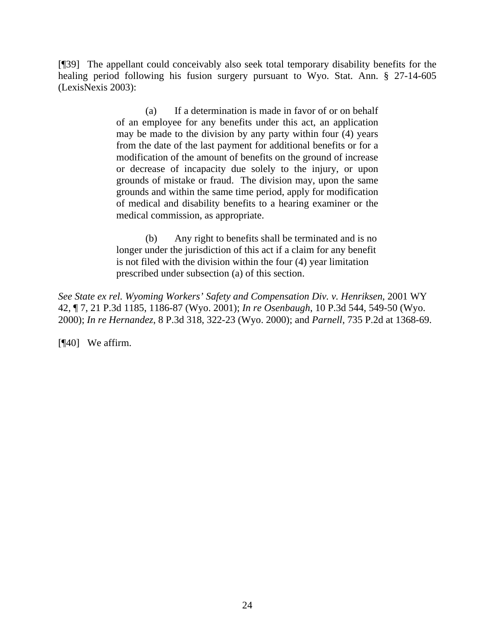[¶39] The appellant could conceivably also seek total temporary disability benefits for the healing period following his fusion surgery pursuant to Wyo. Stat. Ann. § 27-14-605 (LexisNexis 2003):

> (a) If a determination is made in favor of or on behalf of an employee for any benefits under this act, an application may be made to the division by any party within four (4) years from the date of the last payment for additional benefits or for a modification of the amount of benefits on the ground of increase or decrease of incapacity due solely to the injury, or upon grounds of mistake or fraud. The division may, upon the same grounds and within the same time period, apply for modification of medical and disability benefits to a hearing examiner or the medical commission, as appropriate.

(b) Any right to benefits shall be terminated and is no longer under the jurisdiction of this act if a claim for any benefit is not filed with the division within the four (4) year limitation prescribed under subsection (a) of this section.

*See State ex rel. Wyoming Workers' Safety and Compensation Div. v. Henriksen*, 2001 WY 42, ¶ 7, 21 P.3d 1185, 1186-87 (Wyo. 2001); *In re Osenbaugh*, 10 P.3d 544, 549-50 (Wyo. 2000); *In re Hernandez*, 8 P.3d 318, 322-23 (Wyo. 2000); and *Parnell*, 735 P.2d at 1368-69.

[¶40] We affirm.